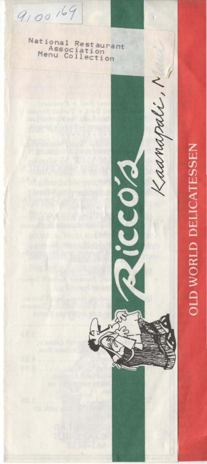$9,00,69$ National Restaurant<br>Association<br>Menu Collection **OLD WORLD DELICATESSEN**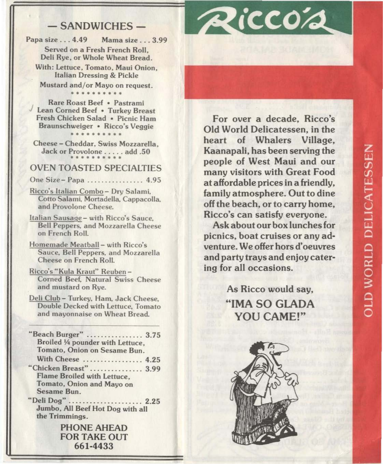# **OLD WORLD DELICATESSEN**

# $-$  SANDWICHES  $-$

Papa size . . . 4.49 Mama size . . . 3.99 Served on a Fresh French Roll. Deli Rye, or Whole Wheat Bread.

With: Lettuce, Tomato, Maui Onion. **Italian Dressing & Pickle** 

Mustard and/or Mayo on request. . . . . . . . . . .

Rare Roast Beef · Pastrami Lean Corned Beef • Turkey Breast Fresh Chicken Salad . Picnic Ham Braunschweiger • Ricco's Veggie

Cheese - Cheddar, Swiss Mozzarella. Jack or Provolone . . . . . add .50

#### **OVEN TOASTED SPECIALTIES**

One Size - Papa ................. 4.95

- Ricco's Italian Combo-Drv Salami. Cotto Salami, Mortadella, Cappacolla, and Provolone Cheese.
- Italian Sausage with Ricco's Sauce. **Bell Peppers, and Mozzarella Cheese** on French Roll.
- Homemade Meatball with Ricco's Sauce, Bell Peppers, and Mozzarella Cheese on French Roll.
- Ricco's "Kula Kraut" Reuben-Corned Beef, Natural Swiss Cheese and mustard on Rve.
- Deli Club Turkey, Ham, Jack Cheese, Double Decked with Lettuce, Tomato and mayonnaise on Wheat Bread.

"Beach Burger" ................. 3.75 Broiled 1/4 pounder with Lettuce, Tomato, Onion on Sesame Bun. With Cheese ................. 4.25 "Chicken Breast"............... 3.99 Flame Broiled with Lettuce, Tomato, Onion and Mayo on Sesame Bun. "Deli Dog" .........  $\cdots$ ...... 2.25 Jumbo, All Beef Hot Dog with all the Trimmings.

> **PHONE AHEAD FOR TAKE OUT** 661-4433



For over a decade, Ricco's Old World Delicatessen, in the heart of Whalers Village, Kaanapali, has been serving the people of West Maui and our many visitors with Great Food at affordable prices in a friendly. family atmosphere. Out to dine off the beach, or to carry home, Ricco's can satisfy everyone.

Ask about our box lunches for picnics, boat cruises or any adventure. We offer hors d'oeuvres and party trays and enjoy catering for all occasions.

> As Ricco would say, "IMA SO GLADA YOU CAME!"

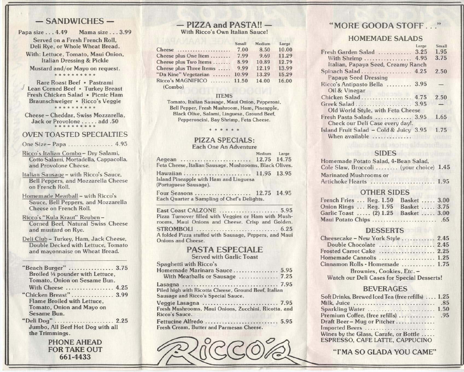# $-$  SANDWICHES  $-$

Papa size ... 4.49 Mama size ... 3.99

Served on a Fresh French Roll, Deli Rye. or Whole Wheat Bread.

With: Lettuce. Tomato, Maui Onion. Italian Dressing & Pickle

Mustard and/or Mayo on request.<br>\*\*\*\*\*\*\*\*\*<br>Rare Roast Beef • Pastrami

Lean Corned Beef. Turkey Breast Fresh Chicken Salad • Picnic Ham Braunschweiger • Ricco's Veggie \*\*\*\*\*\*\*\*\*

Cheese - Cheddar. Swiss Mozzarella. Jack or Provolone ..... add .50 ••••••••••

# OVEN TOASTED SPECIALTIES

- One Size- Papa ................ 4.95
- Ricco's Italian Combo- Dry Salami, Cotto Salami, Mortadella, Cappacolla, and Provolone Cheese.
- Italian Sausage with Ricco's Sauce. Bell Peppers, and Mozzarella Cheese on French Roll.
- Homemade Meatball with Ricco's Sauce. Bell Peppers, and Mozzarella Cheese on French Roll.
- Ricco's "Kula Kraut" Reuben-Corned Beef. Natural Swiss Cheese and mustard on Rye.
- Deli Club- Turkey, Ham, Jack Cheese, Double Decked with Lettuce, Tomato and mayonnaise on Wheat Bread

"Beach Burger" ........... , .... 3.75 Broiled 1/4 pounder with Lettuce. Tomato. Onion on Sesame Bun. With Cheese .................. 4.25 "Chicken Breast" ...... \_. \_ ...... 3.99 Flame Broiled with Lettuce,

Tomato. Onion and Mayo on Sesame Bun.

"Deli Dog" ..................... 2.25 Jumbo. All Beef Hot Dog with all the Trimmings.

> PHONE AHEAD FOR TAKE OUT 661-4433

# - PIZZA and PASTA!! -<br>With Ricco's Own Italian Sauce!

Cheese . \_\_\_\_\_ ... \_.\_. \_\_ ..... . 7.00 Cheese plus One Item ........ 7.99 Cheese plus Two Items ....... 8.99 Cheese plus Three Items ..... 9.99 "Da Kine" Vegetarian ...... . 10.99 Ricco's MAGNIFICO ........ 11.50 (Combo) Small Medium 8.50 9.69 10.89 12.19 13.29 14.00 Large 10.00 11.29 12.79 13.99 15.29 16.00

#### ITEMS

Tomato. Italian Sausage. Maui Onion. Pepperoni. Bell Pepper. Fresh Mushroom. Ham, Pineapple, Black Olive, Salami, Linguesa, Ground Beef. Pepperoncini, Bay Shrimp. Feta Cheese.

••••••

### PIZZA SPECIALS:

#### Each One An Adventure

| Aegean  12.75 14.75<br>Feta Cheese, Italian Sausage, Mushrooms, Black Olives. | Medium Large |  |
|-------------------------------------------------------------------------------|--------------|--|
| Island Pineapple with Ham and Linguesa<br>(Portuguese Sausage).               |              |  |
| Four Seasons  12.75 14.95<br>Each Quarter a Sampling of Chef's Delights.      |              |  |

East Coast CALZONE ..................... 5.95 Pizza Turnover filled with Veggies or Ham with Mushrooms, Maui Onions and Cheese. Crisp and Golden. STROMBOLI ............................. 6.25 A folded Pizza stuffed with Sausage. Peppers, and Maui Onions and Cheese.

# PASTA ESPECIALE

Served with Garlic Toast

| Spaghetti with Ricco's                                                                     |  |
|--------------------------------------------------------------------------------------------|--|
| Homemade Marinara Sauce 5.95                                                               |  |
| With Meatballs or Sausage  7.25                                                            |  |
| Piled high with Ricotta Cheese, Ground Beef, Italian<br>Sausage and Ricco's Special Sauce. |  |
| Fresh Mushrooms, Maui Onions, Zucchini, Ricotta, and<br>Ricco's Sauce.                     |  |
| Fresh Cream, Butter and Parmesan Cheese.                                                   |  |



# "MORE GOODA STOFF. "

## HOMEMADE SALADS

|                                                             | Large | Small    |
|-------------------------------------------------------------|-------|----------|
| Fresh Garden Salad  3.25                                    |       | 1.95     |
| With Shrimp  4.95                                           |       | 3.75     |
| Italian, Papaya Seed, Creamy Ranch                          |       |          |
| Spinach Salad 4.25<br>Papaya Seed Dressing                  |       | 2.50     |
| Ricco's Antipasto Bella  3.95<br>Oil & Vinegar              |       |          |
| Chicken Salad 4.75                                          |       | 2.50     |
| Greek Salad  3.95<br>Old World Style, with Feta Cheese      |       | $\equiv$ |
| Fresh Pasta Salads  3.95<br>Check our Deli Case every day!. |       | 1.65     |
| Island Fruit Salad - Cold & Juicy 3.95<br>When available    |       | 1.75     |

# SIDES

| Homemade Potato Salad, 4-Bean Salad,    |  |
|-----------------------------------------|--|
| Cole Slaw, Broccoli  (your choice) 1.45 |  |
| <b>Marinated Mushrooms or</b>           |  |
| Artichoke Hearts  1.95                  |  |

## OTHER SIDES

| French Fries  Reg. 1.50 Basket  3.00 |  |  |
|--------------------------------------|--|--|
| Onion Rings  Reg. 1.95 Basket  3.75  |  |  |
| Garlic Toast  (2) 1.25 Basket  3.00  |  |  |
|                                      |  |  |

# DESSERTS

| Cheesecake - New York Style  2.45          |  |
|--------------------------------------------|--|
|                                            |  |
| Frosted Carrot Cake  2.25                  |  |
| Homemade Cannolis  1.25                    |  |
| Cinnamon Rolls - Homemade  1.75            |  |
| Brownies, Cookies, Etc. -                  |  |
| Watch our Deli Cases for Special Desserts! |  |
|                                            |  |

# BEVERAGES

| Soft Drinks, Brewed Iced Tea (free refills)  1.25 |  |
|---------------------------------------------------|--|
|                                                   |  |
| Sparkling Water  1.50                             |  |
|                                                   |  |
| Draft Beer - Mug or Pitcher                       |  |
| Imported Beers                                    |  |
| Wines by the Glass, Carafe, or Bottle             |  |
| ESPRESSO, CAFE LATTE, CAPPUCINO                   |  |

"I'MA SO GLADA YOU CAME"